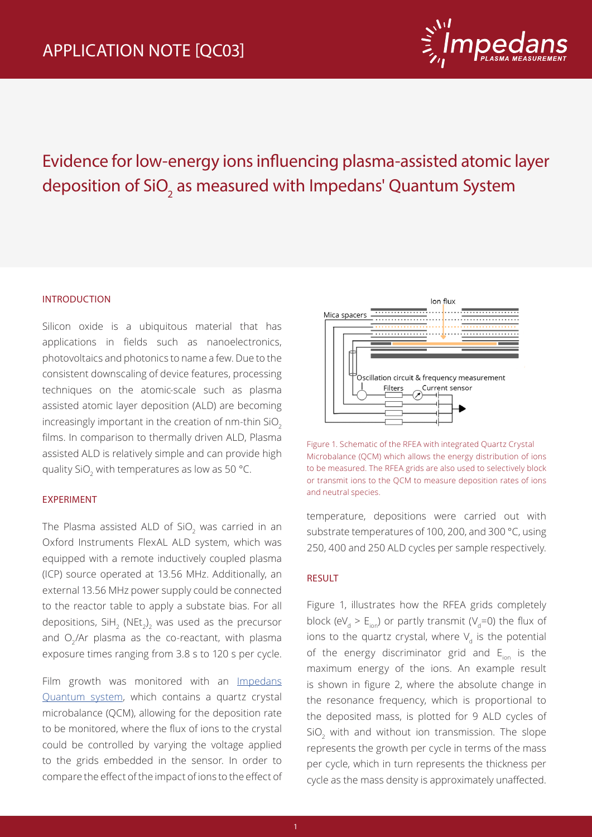

# Evidence for low-energy ions influencing plasma-assisted atomic layer deposition of SiO<sub>2</sub> as measured with Impedans' Quantum System

### INTRODUCTION

Silicon oxide is a ubiquitous material that has applications in fields such as nanoelectronics, photovoltaics and photonics to name a few. Due to the consistent downscaling of device features, processing techniques on the atomic-scale such as plasma assisted atomic layer deposition (ALD) are becoming increasingly important in the creation of nm-thin SiO<sub>2</sub> films. In comparison to thermally driven ALD, Plasma assisted ALD is relatively simple and can provide high quality SiO $_2$  with temperatures as low as 50 °C.

#### EXPERIMENT

The Plasma assisted ALD of SiO $_2$  was carried in an Oxford Instruments FlexAL ALD system, which was equipped with a remote inductively coupled plasma (ICP) source operated at 13.56 MHz. Additionally, an external 13.56 MHz power supply could be connected to the reactor table to apply a substate bias. For all depositions, SiH $_2$  (NEt $_2)_2$  was used as the precursor and  $O<sub>2</sub>/Ar$  plasma as the co-reactant, with plasma exposure times ranging from 3.8 s to 120 s per cycle.

Film growth was monitored with an Impedans Quantum system, which contains a quartz crystal microbalance (QCM), allowing for the deposition rate to be monitored, where the flux of ions to the crystal could be controlled by varying the voltage applied to the grids embedded in the sensor. In order to compare the effect of the impact of ions to the effect of



Figure 1. Schematic of the RFEA with integrated Quartz Crystal Microbalance (QCM) which allows the energy distribution of ions to be measured. The RFEA grids are also used to selectively block or transmit ions to the QCM to measure deposition rates of ions and neutral species.

temperature, depositions were carried out with substrate temperatures of 100, 200, and 300 °C, using 250, 400 and 250 ALD cycles per sample respectively.

#### RESULT

Figure 1, illustrates how the RFEA grids completely block (eV<sub>d</sub> > E<sub>ion</sub>) or partly transmit (V<sub>d</sub>=0) the flux of ions to the quartz crystal, where  $V_d$  is the potential of the energy discriminator grid and  $E_{ion}$  is the maximum energy of the ions. An example result is shown in figure 2, where the absolute change in the resonance frequency, which is proportional to the deposited mass, is plotted for 9 ALD cycles of  $\mathrm{SiO}_2$  with and without ion transmission. The slope represents the growth per cycle in terms of the mass per cycle, which in turn represents the thickness per cycle as the mass density is approximately unaffected.